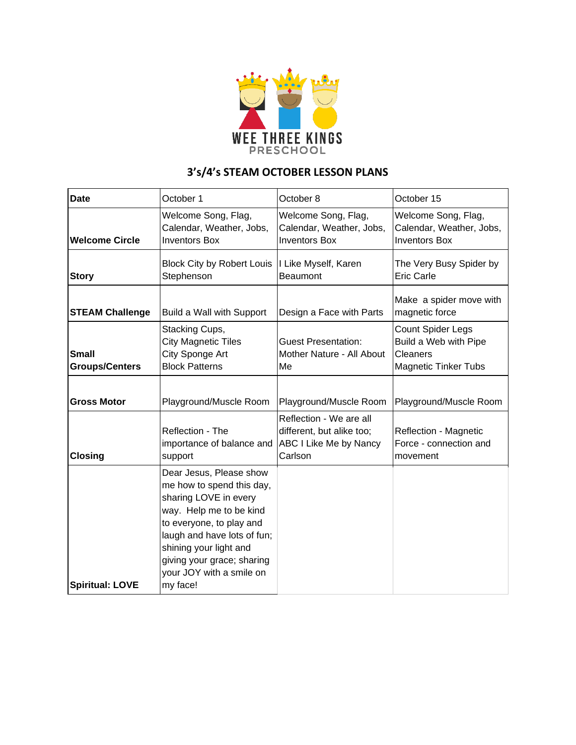

## **3's/4's STEAM OCTOBER LESSON PLANS**

| <b>Date</b>                    | October 1                                                                                                                                                                                                                                                           | October 8                                                                                 | October 15                                                                            |
|--------------------------------|---------------------------------------------------------------------------------------------------------------------------------------------------------------------------------------------------------------------------------------------------------------------|-------------------------------------------------------------------------------------------|---------------------------------------------------------------------------------------|
| <b>Welcome Circle</b>          | Welcome Song, Flag,<br>Calendar, Weather, Jobs,<br><b>Inventors Box</b>                                                                                                                                                                                             | Welcome Song, Flag,<br>Calendar, Weather, Jobs,<br><b>Inventors Box</b>                   | Welcome Song, Flag,<br>Calendar, Weather, Jobs,<br><b>Inventors Box</b>               |
| <b>Story</b>                   | <b>Block City by Robert Louis</b><br>Stephenson                                                                                                                                                                                                                     | I Like Myself, Karen<br><b>Beaumont</b>                                                   | The Very Busy Spider by<br><b>Eric Carle</b>                                          |
| <b>STEAM Challenge</b>         | Build a Wall with Support                                                                                                                                                                                                                                           | Design a Face with Parts                                                                  | Make a spider move with<br>magnetic force                                             |
| Small<br><b>Groups/Centers</b> | Stacking Cups,<br><b>City Magnetic Tiles</b><br>City Sponge Art<br><b>Block Patterns</b>                                                                                                                                                                            | <b>Guest Presentation:</b><br>Mother Nature - All About<br>Me                             | Count Spider Legs<br>Build a Web with Pipe<br>Cleaners<br><b>Magnetic Tinker Tubs</b> |
| <b>Gross Motor</b>             | Playground/Muscle Room                                                                                                                                                                                                                                              | Playground/Muscle Room                                                                    | Playground/Muscle Room                                                                |
| <b>Closing</b>                 | Reflection - The<br>importance of balance and<br>support                                                                                                                                                                                                            | Reflection - We are all<br>different, but alike too;<br>ABC I Like Me by Nancy<br>Carlson | Reflection - Magnetic<br>Force - connection and<br>movement                           |
| <b>Spiritual: LOVE</b>         | Dear Jesus, Please show<br>me how to spend this day,<br>sharing LOVE in every<br>way. Help me to be kind<br>to everyone, to play and<br>laugh and have lots of fun;<br>shining your light and<br>giving your grace; sharing<br>your JOY with a smile on<br>my face! |                                                                                           |                                                                                       |